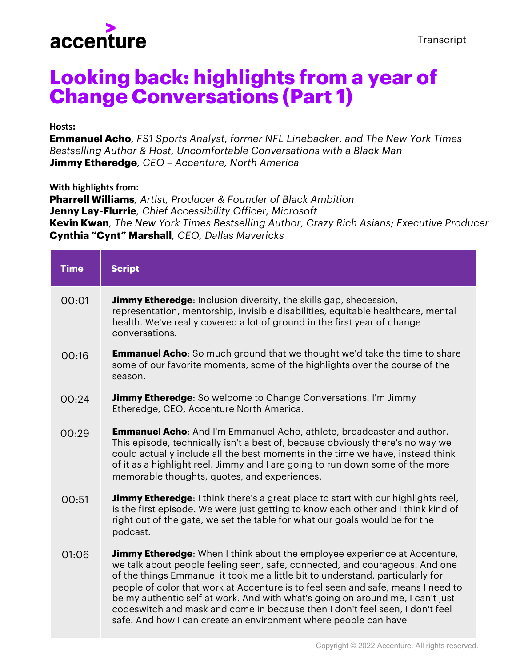

## **Looking back: highlights from a year of Change Conversations (Part 1)**

## **Hosts:**

**Emmanuel Acho***, FS1 Sports Analyst, former NFL Linebacker, and The New York Times Bestselling Author & Host, Uncomfortable Conversations with a Black Man* **Jimmy Etheredge***, CEO – Accenture, North America*

**With highlights from:**

**Pharrell Williams***, Artist, Producer & Founder of Black Ambition* **Jenny Lay-Flurrie***, Chief Accessibility Officer, Microsoft* **Kevin Kwan***, The New York Times Bestselling Author, Crazy Rich Asians; Executive Producer* **Cynthia "Cynt" Marshall***, CEO, Dallas Mavericks*

| <b>Time</b> | <b>Script</b>                                                                                                                                                                                                                                                                                                                                                                                                                                                                                                                                                              |
|-------------|----------------------------------------------------------------------------------------------------------------------------------------------------------------------------------------------------------------------------------------------------------------------------------------------------------------------------------------------------------------------------------------------------------------------------------------------------------------------------------------------------------------------------------------------------------------------------|
| 00:01       | <b>Jimmy Etheredge:</b> Inclusion diversity, the skills gap, shecession,<br>representation, mentorship, invisible disabilities, equitable healthcare, mental<br>health. We've really covered a lot of ground in the first year of change<br>conversations.                                                                                                                                                                                                                                                                                                                 |
| 00:16       | <b>Emmanuel Acho:</b> So much ground that we thought we'd take the time to share<br>some of our favorite moments, some of the highlights over the course of the<br>season.                                                                                                                                                                                                                                                                                                                                                                                                 |
| 00:24       | Jimmy Etheredge: So welcome to Change Conversations. I'm Jimmy<br>Etheredge, CEO, Accenture North America.                                                                                                                                                                                                                                                                                                                                                                                                                                                                 |
| 00:29       | <b>Emmanuel Acho:</b> And I'm Emmanuel Acho, athlete, broadcaster and author.<br>This episode, technically isn't a best of, because obviously there's no way we<br>could actually include all the best moments in the time we have, instead think<br>of it as a highlight reel. Jimmy and I are going to run down some of the more<br>memorable thoughts, quotes, and experiences.                                                                                                                                                                                         |
| 00:51       | <b>Jimmy Etheredge</b> : I think there's a great place to start with our highlights reel,<br>is the first episode. We were just getting to know each other and I think kind of<br>right out of the gate, we set the table for what our goals would be for the<br>podcast.                                                                                                                                                                                                                                                                                                  |
| 01:06       | <b>Jimmy Etheredge:</b> When I think about the employee experience at Accenture,<br>we talk about people feeling seen, safe, connected, and courageous. And one<br>of the things Emmanuel it took me a little bit to understand, particularly for<br>people of color that work at Accenture is to feel seen and safe, means I need to<br>be my authentic self at work. And with what's going on around me, I can't just<br>codeswitch and mask and come in because then I don't feel seen, I don't feel<br>safe. And how I can create an environment where people can have |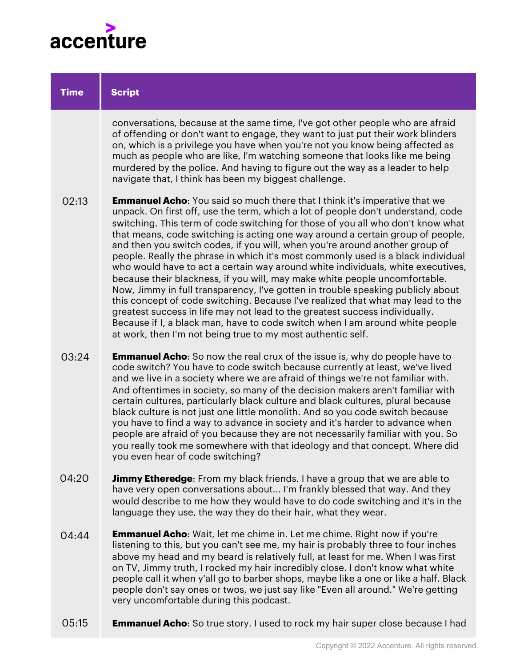

| <b>Time</b> | <b>Script</b>                                                                                                                                                                                                                                                                                                                                                                                                                                                                                                                                                                                                                                                                                                                                                                                                                                                                                                                                                                                                                                                                      |
|-------------|------------------------------------------------------------------------------------------------------------------------------------------------------------------------------------------------------------------------------------------------------------------------------------------------------------------------------------------------------------------------------------------------------------------------------------------------------------------------------------------------------------------------------------------------------------------------------------------------------------------------------------------------------------------------------------------------------------------------------------------------------------------------------------------------------------------------------------------------------------------------------------------------------------------------------------------------------------------------------------------------------------------------------------------------------------------------------------|
|             | conversations, because at the same time, I've got other people who are afraid<br>of offending or don't want to engage, they want to just put their work blinders<br>on, which is a privilege you have when you're not you know being affected as<br>much as people who are like, I'm watching someone that looks like me being<br>murdered by the police. And having to figure out the way as a leader to help<br>navigate that, I think has been my biggest challenge.                                                                                                                                                                                                                                                                                                                                                                                                                                                                                                                                                                                                            |
| 02:13       | <b>Emmanuel Acho:</b> You said so much there that I think it's imperative that we<br>unpack. On first off, use the term, which a lot of people don't understand, code<br>switching. This term of code switching for those of you all who don't know what<br>that means, code switching is acting one way around a certain group of people,<br>and then you switch codes, if you will, when you're around another group of<br>people. Really the phrase in which it's most commonly used is a black individual<br>who would have to act a certain way around white individuals, white executives,<br>because their blackness, if you will, may make white people uncomfortable.<br>Now, Jimmy in full transparency, I've gotten in trouble speaking publicly about<br>this concept of code switching. Because I've realized that what may lead to the<br>greatest success in life may not lead to the greatest success individually.<br>Because if I, a black man, have to code switch when I am around white people<br>at work, then I'm not being true to my most authentic self. |
| 03:24       | <b>Emmanuel Acho:</b> So now the real crux of the issue is, why do people have to<br>code switch? You have to code switch because currently at least, we've lived<br>and we live in a society where we are afraid of things we're not familiar with.<br>And oftentimes in society, so many of the decision makers aren't familiar with<br>certain cultures, particularly black culture and black cultures, plural because<br>black culture is not just one little monolith. And so you code switch because<br>you have to find a way to advance in society and it's harder to advance when<br>people are afraid of you because they are not necessarily familiar with you. So                                                                                                                                                                                                                                                                                                                                                                                                      |

**Jimmy Etheredge**: From my black friends. I have a group that we are able to have very open conversations about... I'm frankly blessed that way. And they would describe to me how they would have to do code switching and it's in the language they use, the way they do their hair, what they wear. 04:20

you even hear of code switching?

you really took me somewhere with that ideology and that concept. Where did

- **Emmanuel Acho**: Wait, let me chime in. Let me chime. Right now if you're listening to this, but you can't see me, my hair is probably three to four inches above my head and my beard is relatively full, at least for me. When I was first on TV, Jimmy truth, I rocked my hair incredibly close. I don't know what white people call it when y'all go to barber shops, maybe like a one or like a half. Black people don't say ones or twos, we just say like "Even all around." We're getting very uncomfortable during this podcast. 04:44
- **Emmanuel Acho**: So true story. I used to rock my hair super close because I had 05:15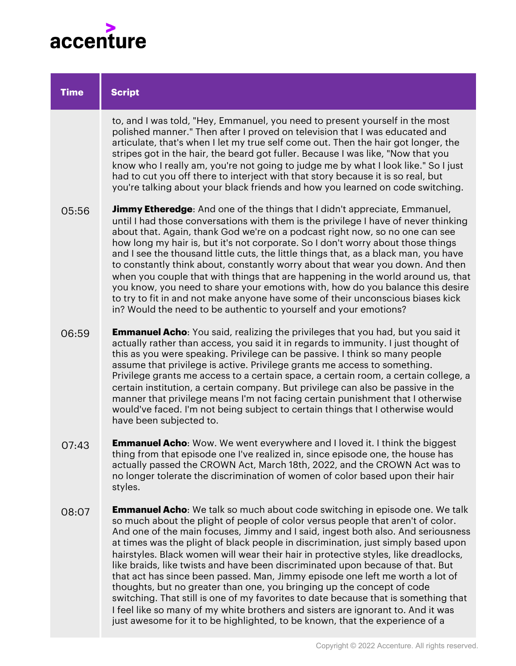

| <b>Time</b> | <b>Script</b>                                                                                                                                                                                                                                                                                                                                                                                                                                                                                                                                                                                                                                                                                                                                                                                                                                         |
|-------------|-------------------------------------------------------------------------------------------------------------------------------------------------------------------------------------------------------------------------------------------------------------------------------------------------------------------------------------------------------------------------------------------------------------------------------------------------------------------------------------------------------------------------------------------------------------------------------------------------------------------------------------------------------------------------------------------------------------------------------------------------------------------------------------------------------------------------------------------------------|
|             | to, and I was told, "Hey, Emmanuel, you need to present yourself in the most<br>polished manner." Then after I proved on television that I was educated and<br>articulate, that's when I let my true self come out. Then the hair got longer, the<br>stripes got in the hair, the beard got fuller. Because I was like, "Now that you<br>know who I really am, you're not going to judge me by what I look like." So I just<br>had to cut you off there to interject with that story because it is so real, but<br>you're talking about your black friends and how you learned on code switching.                                                                                                                                                                                                                                                     |
| 05:56       | <b>Jimmy Etheredge</b> : And one of the things that I didn't appreciate, Emmanuel,<br>until I had those conversations with them is the privilege I have of never thinking<br>about that. Again, thank God we're on a podcast right now, so no one can see<br>how long my hair is, but it's not corporate. So I don't worry about those things<br>and I see the thousand little cuts, the little things that, as a black man, you have<br>to constantly think about, constantly worry about that wear you down. And then<br>when you couple that with things that are happening in the world around us, that<br>you know, you need to share your emotions with, how do you balance this desire<br>to try to fit in and not make anyone have some of their unconscious biases kick<br>in? Would the need to be authentic to yourself and your emotions? |
| 06:59       | <b>Emmanuel Acho:</b> You said, realizing the privileges that you had, but you said it<br>actually rather than access, you said it in regards to immunity. I just thought of<br>this as you were speaking. Privilege can be passive. I think so many people<br>assume that privilege is active. Privilege grants me access to something.<br>Privilege grants me access to a certain space, a certain room, a certain college, a<br>certain institution, a certain company. But privilege can also be passive in the<br>manner that privilege means I'm not facing certain punishment that I otherwise<br>would've faced. I'm not being subject to certain things that I otherwise would<br>have been subjected to.                                                                                                                                    |
| 07:43       | <b>Emmanuel Acho:</b> Wow. We went everywhere and I loved it. I think the biggest<br>thing from that episode one I've realized in, since episode one, the house has<br>actually passed the CROWN Act, March 18th, 2022, and the CROWN Act was to<br>no longer tolerate the discrimination of women of color based upon their hair<br>styles.                                                                                                                                                                                                                                                                                                                                                                                                                                                                                                          |
| 08:07       | <b>Emmanuel Acho:</b> We talk so much about code switching in episode one. We talk<br>so much about the plight of people of color versus people that aren't of color.<br>And one of the main focuses, Jimmy and I said, ingest both also. And seriousness<br>at times was the plight of black people in discrimination, just simply based upon<br>hairstyles. Black women will wear their hair in protective styles, like dreadlocks,<br>like braids, like twists and have been discriminated upon because of that. But<br>that act has since been passed. Man, Jimmy episode one left me worth a lot of<br>thoughts, but no greater than one, you bringing up the concept of code<br>switching. That still is one of my favorites to date because that is something that                                                                             |

I feel like so many of my white brothers and sisters are ignorant to. And it was just awesome for it to be highlighted, to be known, that the experience of a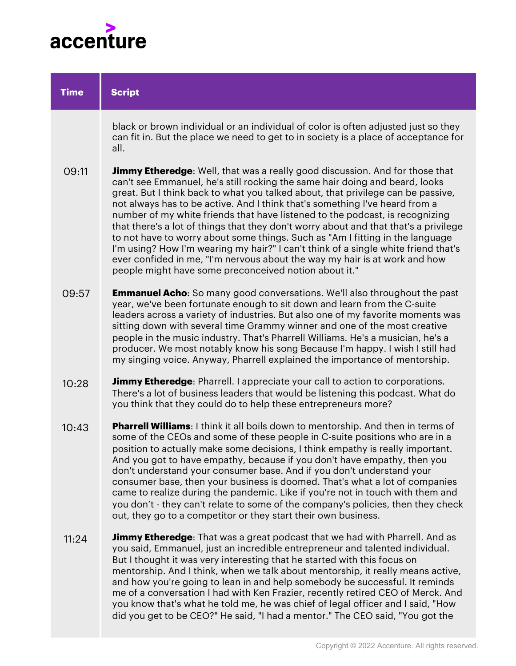

| <b>Time</b> | <b>Script</b>                                                                                                                                                                                                                                                                                                                                                                                                                                                                                                                                                                                                                                                                                                                                                                                                               |
|-------------|-----------------------------------------------------------------------------------------------------------------------------------------------------------------------------------------------------------------------------------------------------------------------------------------------------------------------------------------------------------------------------------------------------------------------------------------------------------------------------------------------------------------------------------------------------------------------------------------------------------------------------------------------------------------------------------------------------------------------------------------------------------------------------------------------------------------------------|
|             | black or brown individual or an individual of color is often adjusted just so they<br>can fit in. But the place we need to get to in society is a place of acceptance for<br>all.                                                                                                                                                                                                                                                                                                                                                                                                                                                                                                                                                                                                                                           |
| 09:11       | <b>Jimmy Etheredge:</b> Well, that was a really good discussion. And for those that<br>can't see Emmanuel, he's still rocking the same hair doing and beard, looks<br>great. But I think back to what you talked about, that privilege can be passive,<br>not always has to be active. And I think that's something I've heard from a<br>number of my white friends that have listened to the podcast, is recognizing<br>that there's a lot of things that they don't worry about and that that's a privilege<br>to not have to worry about some things. Such as "Am I fitting in the language<br>I'm using? How I'm wearing my hair?" I can't think of a single white friend that's<br>ever confided in me, "I'm nervous about the way my hair is at work and how<br>people might have some preconceived notion about it." |
| 09:57       | <b>Emmanuel Acho:</b> So many good conversations. We'll also throughout the past<br>year, we've been fortunate enough to sit down and learn from the C-suite<br>leaders across a variety of industries. But also one of my favorite moments was<br>sitting down with several time Grammy winner and one of the most creative<br>people in the music industry. That's Pharrell Williams. He's a musician, he's a<br>producer. We most notably know his song Because I'm happy. I wish I still had<br>my singing voice. Anyway, Pharrell explained the importance of mentorship.                                                                                                                                                                                                                                              |
| 10:28       | <b>Jimmy Etheredge:</b> Pharrell. I appreciate your call to action to corporations.<br>There's a lot of business leaders that would be listening this podcast. What do<br>you think that they could do to help these entrepreneurs more?                                                                                                                                                                                                                                                                                                                                                                                                                                                                                                                                                                                    |
| 10:43       | <b>Pharrell Williams:</b> I think it all boils down to mentorship. And then in terms of<br>some of the CEOs and some of these people in C-suite positions who are in a<br>position to actually make some decisions, I think empathy is really important.<br>And you got to have empathy, because if you don't have empathy, then you<br>don't understand your consumer base. And if you don't understand your<br>consumer base, then your business is doomed. That's what a lot of companies<br>came to realize during the pandemic. Like if you're not in touch with them and<br>you don't - they can't relate to some of the company's policies, then they check<br>out, they go to a competitor or they start their own business.                                                                                        |
| 11:24       | <b>Jimmy Etheredge</b> : That was a great podcast that we had with Pharrell. And as<br>you said, Emmanuel, just an incredible entrepreneur and talented individual.<br>But I thought it was very interesting that he started with this focus on<br>mentorship. And I think, when we talk about mentorship, it really means active,<br>and how you're going to lean in and help somebody be successful. It reminds<br>me of a conversation I had with Ken Frazier, recently retired CEO of Merck. And<br>you know that's what he told me, he was chief of legal officer and I said, "How                                                                                                                                                                                                                                     |

did you get to be CEO?" He said, "I had a mentor." The CEO said, "You got the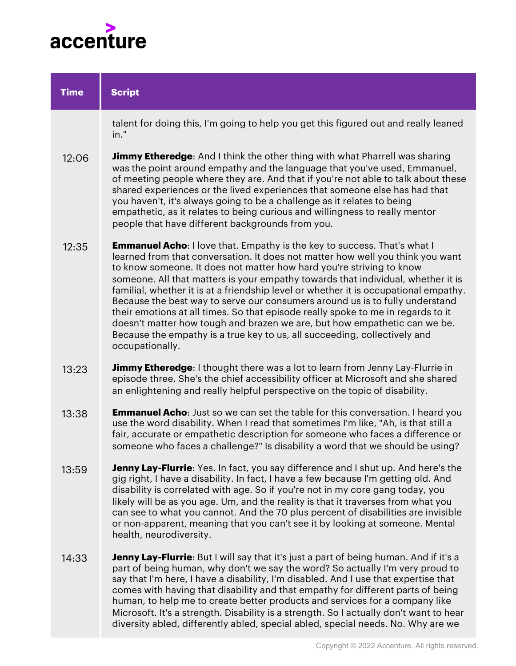

| <b>Time</b> | <b>Script</b>                                                                                                                                                                                                                                                                                                                                                                                                                                                                                                                                                                                                                                                                                                                                                          |
|-------------|------------------------------------------------------------------------------------------------------------------------------------------------------------------------------------------------------------------------------------------------------------------------------------------------------------------------------------------------------------------------------------------------------------------------------------------------------------------------------------------------------------------------------------------------------------------------------------------------------------------------------------------------------------------------------------------------------------------------------------------------------------------------|
|             | talent for doing this, I'm going to help you get this figured out and really leaned<br>in."                                                                                                                                                                                                                                                                                                                                                                                                                                                                                                                                                                                                                                                                            |
| 12:06       | <b>Jimmy Etheredge</b> : And I think the other thing with what Pharrell was sharing<br>was the point around empathy and the language that you've used, Emmanuel,<br>of meeting people where they are. And that if you're not able to talk about these<br>shared experiences or the lived experiences that someone else has had that<br>you haven't, it's always going to be a challenge as it relates to being<br>empathetic, as it relates to being curious and willingness to really mentor<br>people that have different backgrounds from you.                                                                                                                                                                                                                      |
| 12:35       | <b>Emmanuel Acho:</b> I love that. Empathy is the key to success. That's what I<br>learned from that conversation. It does not matter how well you think you want<br>to know someone. It does not matter how hard you're striving to know<br>someone. All that matters is your empathy towards that individual, whether it is<br>familial, whether it is at a friendship level or whether it is occupational empathy.<br>Because the best way to serve our consumers around us is to fully understand<br>their emotions at all times. So that episode really spoke to me in regards to it<br>doesn't matter how tough and brazen we are, but how empathetic can we be.<br>Because the empathy is a true key to us, all succeeding, collectively and<br>occupationally. |
| 13:23       | <b>Jimmy Etheredge:</b> I thought there was a lot to learn from Jenny Lay-Flurrie in<br>episode three. She's the chief accessibility officer at Microsoft and she shared<br>an enlightening and really helpful perspective on the topic of disability.                                                                                                                                                                                                                                                                                                                                                                                                                                                                                                                 |
| 13:38       | <b>Emmanuel Acho:</b> Just so we can set the table for this conversation. I heard you<br>use the word disability. When I read that sometimes I'm like, "Ah, is that still a<br>fair, accurate or empathetic description for someone who faces a difference or<br>someone who faces a challenge?" Is disability a word that we should be using?                                                                                                                                                                                                                                                                                                                                                                                                                         |
| 13:59       | <b>Jenny Lay-Flurrie:</b> Yes. In fact, you say difference and I shut up. And here's the<br>gig right, I have a disability. In fact, I have a few because I'm getting old. And<br>disability is correlated with age. So if you're not in my core gang today, you<br>likely will be as you age. Um, and the reality is that it traverses from what you<br>can see to what you cannot. And the 70 plus percent of disabilities are invisible<br>or non-apparent, meaning that you can't see it by looking at someone. Mental<br>health, neurodiversity.                                                                                                                                                                                                                  |
| 14:33       | Jenny Lay-Flurrie: But I will say that it's just a part of being human. And if it's a<br>part of being human, why don't we say the word? So actually I'm very proud to<br>say that I'm here, I have a disability, I'm disabled. And I use that expertise that<br>comes with having that disability and that empathy for different parts of being<br>human, to help me to create better products and services for a company like                                                                                                                                                                                                                                                                                                                                        |

Microsoft. It's a strength. Disability is a strength. So I actually don't want to hear diversity abled, differently abled, special abled, special needs. No. Why are we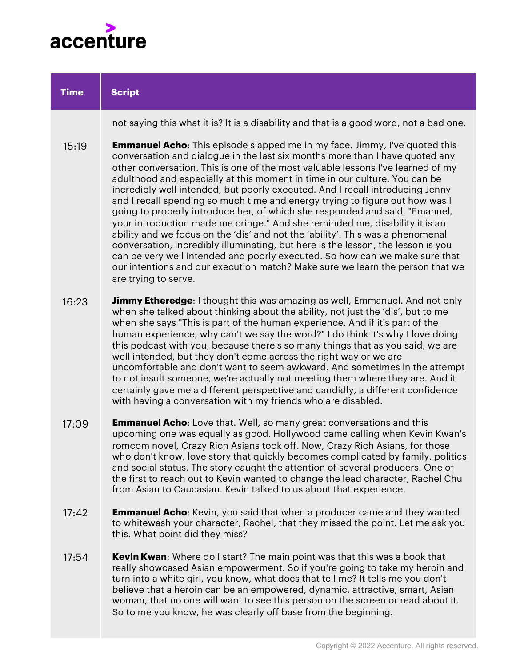

| <b>Time</b> | <b>Script</b>                                                                                                                                                                                                                                                                                                                                                                                                                                                                                                                                                                                                                                                                                                                                                                                                                                                                                                                                                                                                                   |
|-------------|---------------------------------------------------------------------------------------------------------------------------------------------------------------------------------------------------------------------------------------------------------------------------------------------------------------------------------------------------------------------------------------------------------------------------------------------------------------------------------------------------------------------------------------------------------------------------------------------------------------------------------------------------------------------------------------------------------------------------------------------------------------------------------------------------------------------------------------------------------------------------------------------------------------------------------------------------------------------------------------------------------------------------------|
|             | not saying this what it is? It is a disability and that is a good word, not a bad one.                                                                                                                                                                                                                                                                                                                                                                                                                                                                                                                                                                                                                                                                                                                                                                                                                                                                                                                                          |
| 15:19       | <b>Emmanuel Acho:</b> This episode slapped me in my face. Jimmy, I've quoted this<br>conversation and dialogue in the last six months more than I have quoted any<br>other conversation. This is one of the most valuable lessons I've learned of my<br>adulthood and especially at this moment in time in our culture. You can be<br>incredibly well intended, but poorly executed. And I recall introducing Jenny<br>and I recall spending so much time and energy trying to figure out how was I<br>going to properly introduce her, of which she responded and said, "Emanuel,<br>your introduction made me cringe." And she reminded me, disability it is an<br>ability and we focus on the 'dis' and not the 'ability'. This was a phenomenal<br>conversation, incredibly illuminating, but here is the lesson, the lesson is you<br>can be very well intended and poorly executed. So how can we make sure that<br>our intentions and our execution match? Make sure we learn the person that we<br>are trying to serve. |
| 16:23       | <b>Jimmy Etheredge:</b> I thought this was amazing as well, Emmanuel. And not only<br>when she talked about thinking about the ability, not just the 'dis', but to me<br>when she says "This is part of the human experience. And if it's part of the<br>human experience, why can't we say the word?" I do think it's why I love doing<br>this podcast with you, because there's so many things that as you said, we are<br>well intended, but they don't come across the right way or we are<br>uncomfortable and don't want to seem awkward. And sometimes in the attempt<br>to not insult someone, we're actually not meeting them where they are. And it<br>certainly gave me a different perspective and candidly, a different confidence<br>with having a conversation with my friends who are disabled.                                                                                                                                                                                                                 |
| 17:09       | <b>Emmanuel Acho:</b> Love that. Well, so many great conversations and this<br>upcoming one was equally as good. Hollywood came calling when Kevin Kwan's<br>romcom novel, Crazy Rich Asians took off. Now, Crazy Rich Asians, for those<br>who don't know, love story that quickly becomes complicated by family, politics<br>and social status. The story caught the attention of several producers. One of<br>the first to reach out to Kevin wanted to change the lead character, Rachel Chu<br>from Asian to Caucasian. Kevin talked to us about that experience.                                                                                                                                                                                                                                                                                                                                                                                                                                                          |
| 17:42       | <b>Emmanuel Acho:</b> Kevin, you said that when a producer came and they wanted<br>to whitewash your character, Rachel, that they missed the point. Let me ask you<br>this. What point did they miss?                                                                                                                                                                                                                                                                                                                                                                                                                                                                                                                                                                                                                                                                                                                                                                                                                           |
| 17:54       | Kevin Kwan: Where do I start? The main point was that this was a book that<br>really showcased Asian empowerment. So if you're going to take my heroin and<br>turn into a white girl, you know, what does that tell me? It tells me you don't<br>believe that a heroin can be an empowered, dynamic, attractive, smart, Asian<br>woman, that no one will want to see this person on the screen or read about it.                                                                                                                                                                                                                                                                                                                                                                                                                                                                                                                                                                                                                |

So to me you know, he was clearly off base from the beginning.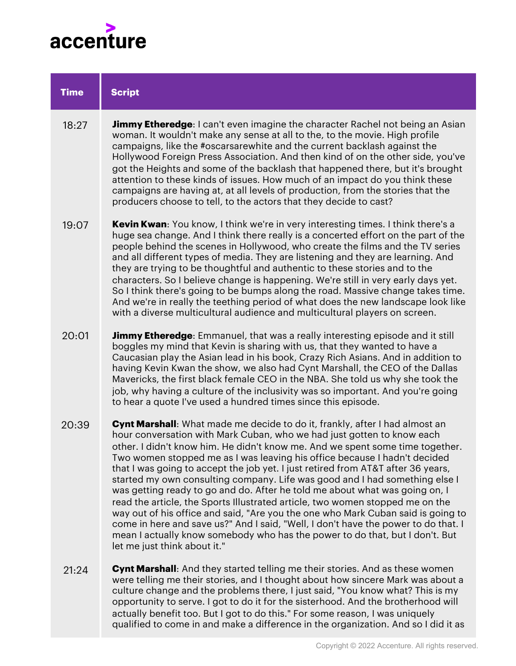

| <b>Time</b> | <b>Script</b>                                                                                                                                                                                                                                                                                                                                                                                                                                                                                                                                                                                                                                                                                                                                                                                                                                                                                                                                    |
|-------------|--------------------------------------------------------------------------------------------------------------------------------------------------------------------------------------------------------------------------------------------------------------------------------------------------------------------------------------------------------------------------------------------------------------------------------------------------------------------------------------------------------------------------------------------------------------------------------------------------------------------------------------------------------------------------------------------------------------------------------------------------------------------------------------------------------------------------------------------------------------------------------------------------------------------------------------------------|
| 18:27       | <b>Jimmy Etheredge</b> : I can't even imagine the character Rachel not being an Asian<br>woman. It wouldn't make any sense at all to the, to the movie. High profile<br>campaigns, like the #oscarsarewhite and the current backlash against the<br>Hollywood Foreign Press Association. And then kind of on the other side, you've<br>got the Heights and some of the backlash that happened there, but it's brought<br>attention to these kinds of issues. How much of an impact do you think these<br>campaigns are having at, at all levels of production, from the stories that the<br>producers choose to tell, to the actors that they decide to cast?                                                                                                                                                                                                                                                                                    |
| 19:07       | Kevin Kwan: You know, I think we're in very interesting times. I think there's a<br>huge sea change. And I think there really is a concerted effort on the part of the<br>people behind the scenes in Hollywood, who create the films and the TV series<br>and all different types of media. They are listening and they are learning. And<br>they are trying to be thoughtful and authentic to these stories and to the<br>characters. So I believe change is happening. We're still in very early days yet.<br>So I think there's going to be bumps along the road. Massive change takes time.<br>And we're in really the teething period of what does the new landscape look like<br>with a diverse multicultural audience and multicultural players on screen.                                                                                                                                                                               |
| 20:01       | <b>Jimmy Etheredge:</b> Emmanuel, that was a really interesting episode and it still<br>boggles my mind that Kevin is sharing with us, that they wanted to have a<br>Caucasian play the Asian lead in his book, Crazy Rich Asians. And in addition to<br>having Kevin Kwan the show, we also had Cynt Marshall, the CEO of the Dallas<br>Mavericks, the first black female CEO in the NBA. She told us why she took the<br>job, why having a culture of the inclusivity was so important. And you're going<br>to hear a quote I've used a hundred times since this episode.                                                                                                                                                                                                                                                                                                                                                                      |
| 20:39       | Cynt Marshall: What made me decide to do it, frankly, after I had almost an<br>hour conversation with Mark Cuban, who we had just gotten to know each<br>other. I didn't know him. He didn't know me. And we spent some time together.<br>Two women stopped me as I was leaving his office because I hadn't decided<br>that I was going to accept the job yet. I just retired from AT&T after 36 years,<br>started my own consulting company. Life was good and I had something else I<br>was getting ready to go and do. After he told me about what was going on, I<br>read the article, the Sports Illustrated article, two women stopped me on the<br>way out of his office and said, "Are you the one who Mark Cuban said is going to<br>come in here and save us?" And I said, "Well, I don't have the power to do that. I<br>mean I actually know somebody who has the power to do that, but I don't. But<br>let me just think about it." |
| 21:24       | <b>Cynt Marshall:</b> And they started telling me their stories. And as these women<br>were telling me their stories, and I thought about how sincere Mark was about a<br>culture change and the problems there, I just said, "You know what? This is my<br>opportunity to serve. I got to do it for the sisterhood. And the brotherhood will                                                                                                                                                                                                                                                                                                                                                                                                                                                                                                                                                                                                    |

actually benefit too. But I got to do this." For some reason, I was uniquely

qualified to come in and make a difference in the organization. And so I did it as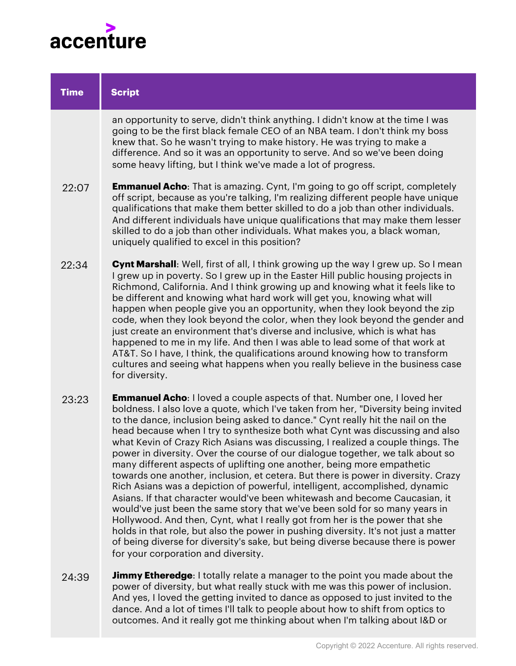

| <b>Time</b> | <b>Script</b>                                                                                                                                                                                                                                                                                                                                                                                                                                                                                                                                                                                                                                                                                                                                                                                                                                                                                                                                                                                                                                                                                                                                                                                                           |
|-------------|-------------------------------------------------------------------------------------------------------------------------------------------------------------------------------------------------------------------------------------------------------------------------------------------------------------------------------------------------------------------------------------------------------------------------------------------------------------------------------------------------------------------------------------------------------------------------------------------------------------------------------------------------------------------------------------------------------------------------------------------------------------------------------------------------------------------------------------------------------------------------------------------------------------------------------------------------------------------------------------------------------------------------------------------------------------------------------------------------------------------------------------------------------------------------------------------------------------------------|
|             | an opportunity to serve, didn't think anything. I didn't know at the time I was<br>going to be the first black female CEO of an NBA team. I don't think my boss<br>knew that. So he wasn't trying to make history. He was trying to make a<br>difference. And so it was an opportunity to serve. And so we've been doing<br>some heavy lifting, but I think we've made a lot of progress.                                                                                                                                                                                                                                                                                                                                                                                                                                                                                                                                                                                                                                                                                                                                                                                                                               |
| 22:07       | <b>Emmanuel Acho:</b> That is amazing. Cynt, I'm going to go off script, completely<br>off script, because as you're talking, I'm realizing different people have unique<br>qualifications that make them better skilled to do a job than other individuals.<br>And different individuals have unique qualifications that may make them lesser<br>skilled to do a job than other individuals. What makes you, a black woman,<br>uniquely qualified to excel in this position?                                                                                                                                                                                                                                                                                                                                                                                                                                                                                                                                                                                                                                                                                                                                           |
| 22:34       | <b>Cynt Marshall:</b> Well, first of all, I think growing up the way I grew up. So I mean<br>I grew up in poverty. So I grew up in the Easter Hill public housing projects in<br>Richmond, California. And I think growing up and knowing what it feels like to<br>be different and knowing what hard work will get you, knowing what will<br>happen when people give you an opportunity, when they look beyond the zip<br>code, when they look beyond the color, when they look beyond the gender and<br>just create an environment that's diverse and inclusive, which is what has<br>happened to me in my life. And then I was able to lead some of that work at<br>AT&T. So I have, I think, the qualifications around knowing how to transform<br>cultures and seeing what happens when you really believe in the business case<br>for diversity.                                                                                                                                                                                                                                                                                                                                                                  |
| 23:23       | <b>Emmanuel Acho:</b> I loved a couple aspects of that. Number one, I loved her<br>boldness. I also love a quote, which I've taken from her, "Diversity being invited<br>to the dance, inclusion being asked to dance." Cynt really hit the nail on the<br>head because when I try to synthesize both what Cynt was discussing and also<br>what Kevin of Crazy Rich Asians was discussing, I realized a couple things. The<br>power in diversity. Over the course of our dialogue together, we talk about so<br>many different aspects of uplifting one another, being more empathetic<br>towards one another, inclusion, et cetera. But there is power in diversity. Crazy<br>Rich Asians was a depiction of powerful, intelligent, accomplished, dynamic<br>Asians. If that character would've been whitewash and become Caucasian, it<br>would've just been the same story that we've been sold for so many years in<br>Hollywood. And then, Cynt, what I really got from her is the power that she<br>holds in that role, but also the power in pushing diversity. It's not just a matter<br>of being diverse for diversity's sake, but being diverse because there is power<br>for your corporation and diversity. |

**Jimmy Etheredge**: I totally relate a manager to the point you made about the power of diversity, but what really stuck with me was this power of inclusion. And yes, I loved the getting invited to dance as opposed to just invited to the dance. And a lot of times I'll talk to people about how to shift from optics to outcomes. And it really got me thinking about when I'm talking about I&D or 24:39